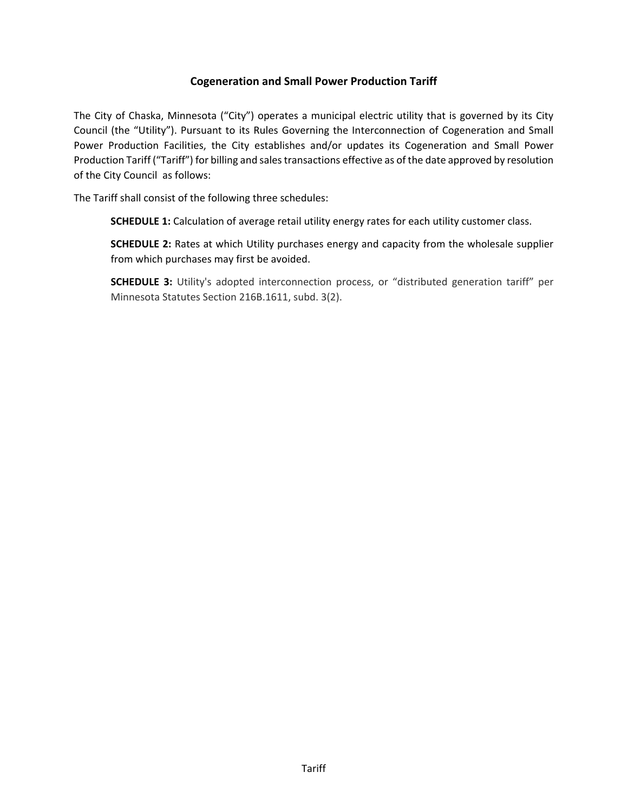# **Cogeneration and Small Power Production Tariff**

 Production Tariff ("Tariff") for billing and sales transactions effective as of the date approved by resolution The City of Chaska, Minnesota ("City") operates a municipal electric utility that is governed by its City Council (the "Utility"). Pursuant to its Rules Governing the Interconnection of Cogeneration and Small Power Production Facilities, the City establishes and/or updates its Cogeneration and Small Power of the City Council as follows:

The Tariff shall consist of the following three schedules:

**SCHEDULE 1:** Calculation of average retail utility energy rates for each utility customer class.

 from which purchases may first be avoided. **SCHEDULE 2:** Rates at which Utility purchases energy and capacity from the wholesale supplier

**SCHEDULE 3:** Utility's adopted interconnection process, or "distributed generation tariff" per Minnesota Statutes Section 216B.1611, subd. 3(2).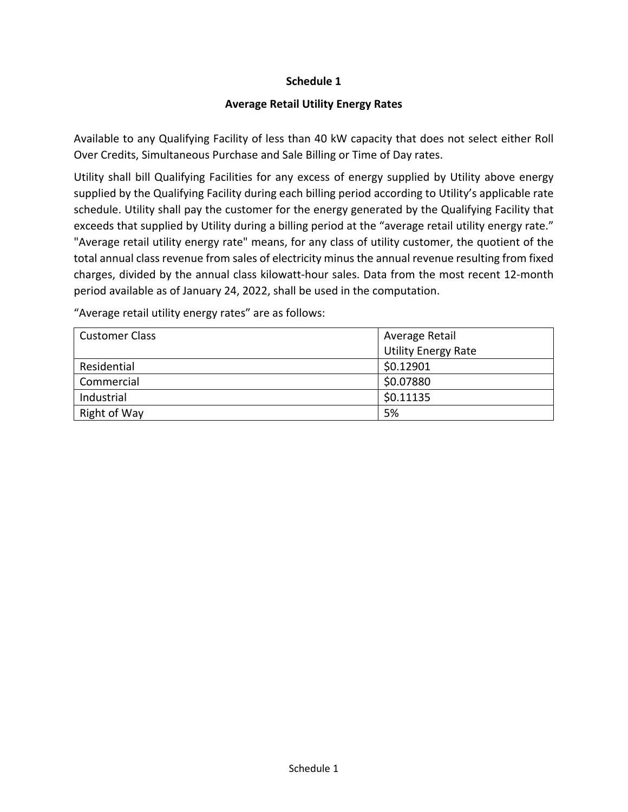### **Schedule 1**

## **Average Retail Utility Energy Rates**

Available to any Qualifying Facility of less than 40 kW capacity that does not select either Roll Over Credits, Simultaneous Purchase and Sale Billing or Time of Day rates.

Utility shall bill Qualifying Facilities for any excess of energy supplied by Utility above energy supplied by the Qualifying Facility during each billing period according to Utility's applicable rate schedule. Utility shall pay the customer for the energy generated by the Qualifying Facility that exceeds that supplied by Utility during a billing period at the "average retail utility energy rate." "Average retail utility energy rate" means, for any class of utility customer, the quotient of the total annual class revenue from sales of electricity minus the annual revenue resulting from fixed charges, divided by the annual class kilowatt‐hour sales. Data from the most recent 12‐month period available as of January 24, 2022, shall be used in the computation.

"Average retail utility energy rates" are as follows:

| <b>Customer Class</b> | Average Retail             |
|-----------------------|----------------------------|
|                       | <b>Utility Energy Rate</b> |
| Residential           | \$0.12901                  |
| Commercial            | \$0.07880                  |
| Industrial            | \$0.11135                  |
| Right of Way          | 5%                         |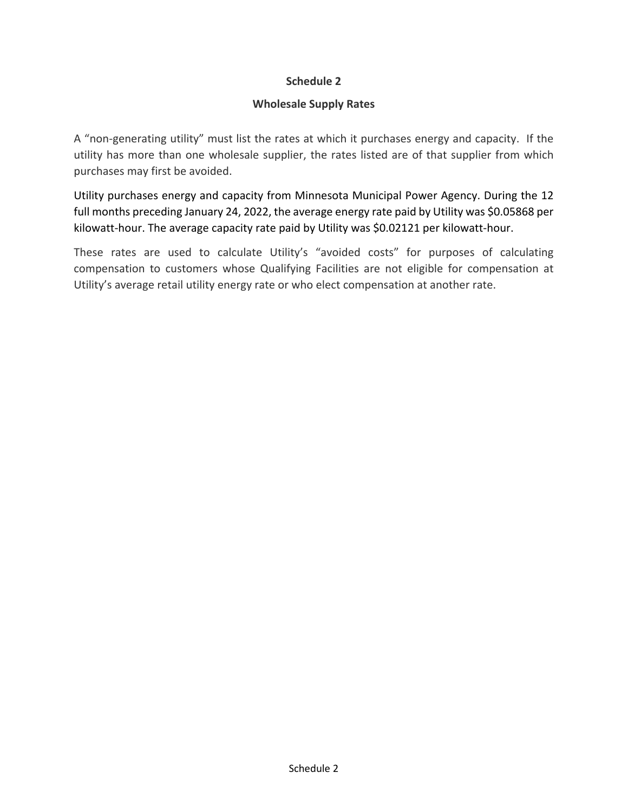## **Schedule 2**

### **Wholesale Supply Rates**

 A "non‐generating utility" must list the rates at which it purchases energy and capacity. If the utility has more than one wholesale supplier, the rates listed are of that supplier from which purchases may first be avoided.

Utility purchases energy and capacity from Minnesota Municipal Power Agency. During the 12 full months preceding January 24, 2022, the average energy rate paid by Utility was \$0.05868 per kilowatt-hour. The average capacity rate paid by Utility was \$0.02121 per kilowatt-hour.

These rates are used to calculate Utility's "avoided costs" for purposes of calculating compensation to customers whose Qualifying Facilities are not eligible for compensation at Utility's average retail utility energy rate or who elect compensation at another rate.